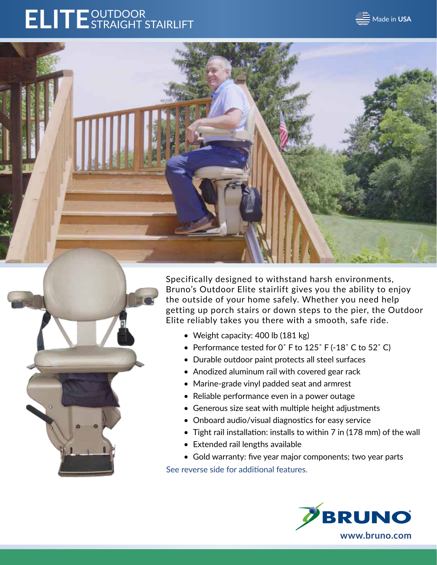# ELITE<sup>OUTDOOR</sup>





Specifically designed to withstand harsh environments, Bruno's Outdoor Elite stairlift gives you the ability to enjoy the outside of your home safely. Whether you need help getting up porch stairs or down steps to the pier, the Outdoor Elite reliably takes you there with a smooth, safe ride.

- Weight capacity: 400 lb (181 kg)
- Performance tested for 0° F to 125° F (-18° C to 52° C)
- Durable outdoor paint protects all steel surfaces
- Anodized aluminum rail with covered gear rack
- Marine-grade vinyl padded seat and armrest
- Reliable performance even in a power outage
- Generous size seat with multiple height adjustments
- Onboard audio/visual diagnostics for easy service
- Tight rail installation: installs to within 7 in (178 mm) of the wall
- Extended rail lengths available
- Gold warranty: five year major components; two year parts

See reverse side for additional features.